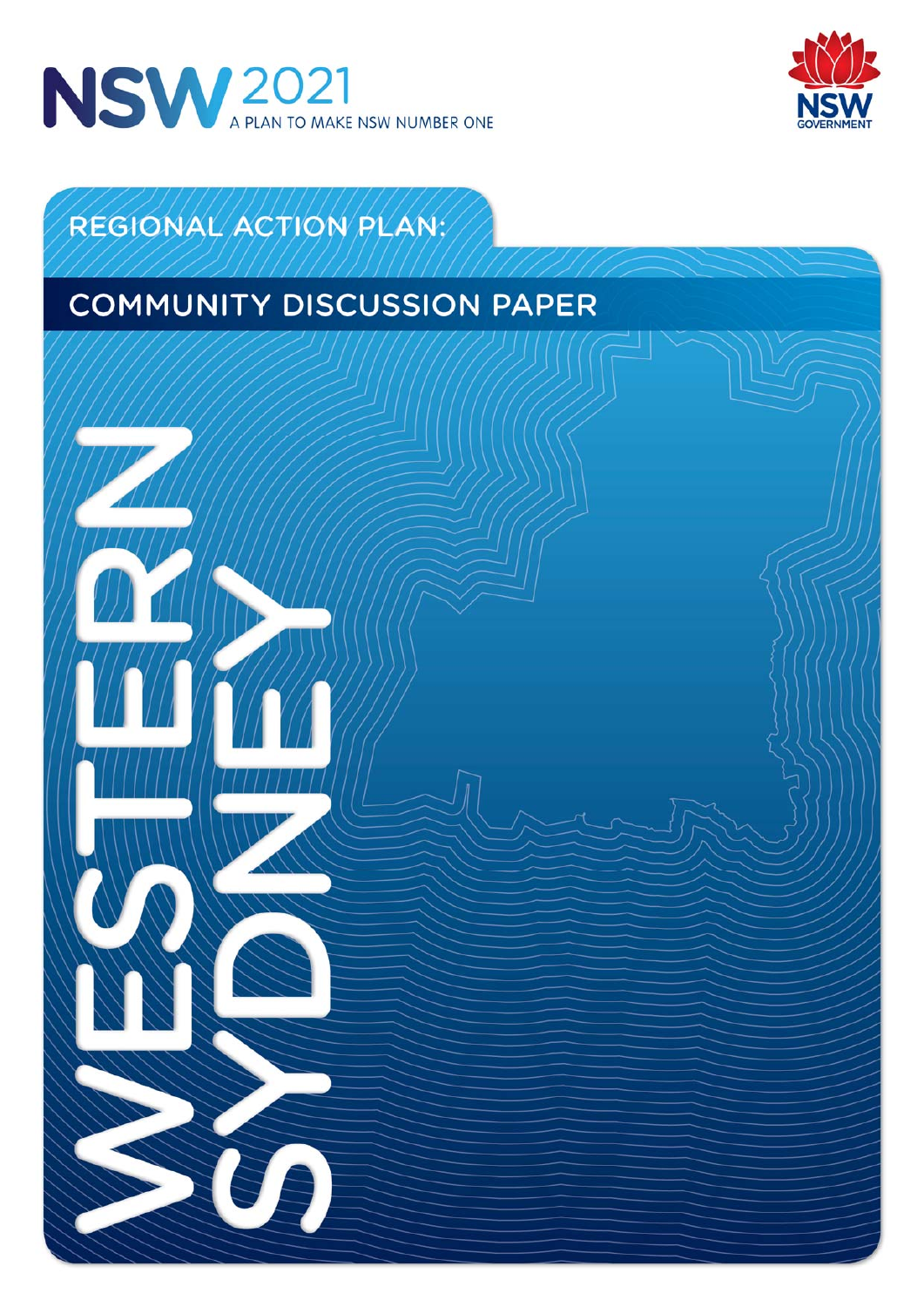



# REGIONAL ACTION PLAN:

# **COMMUNITY DISCUSSION PAPER**

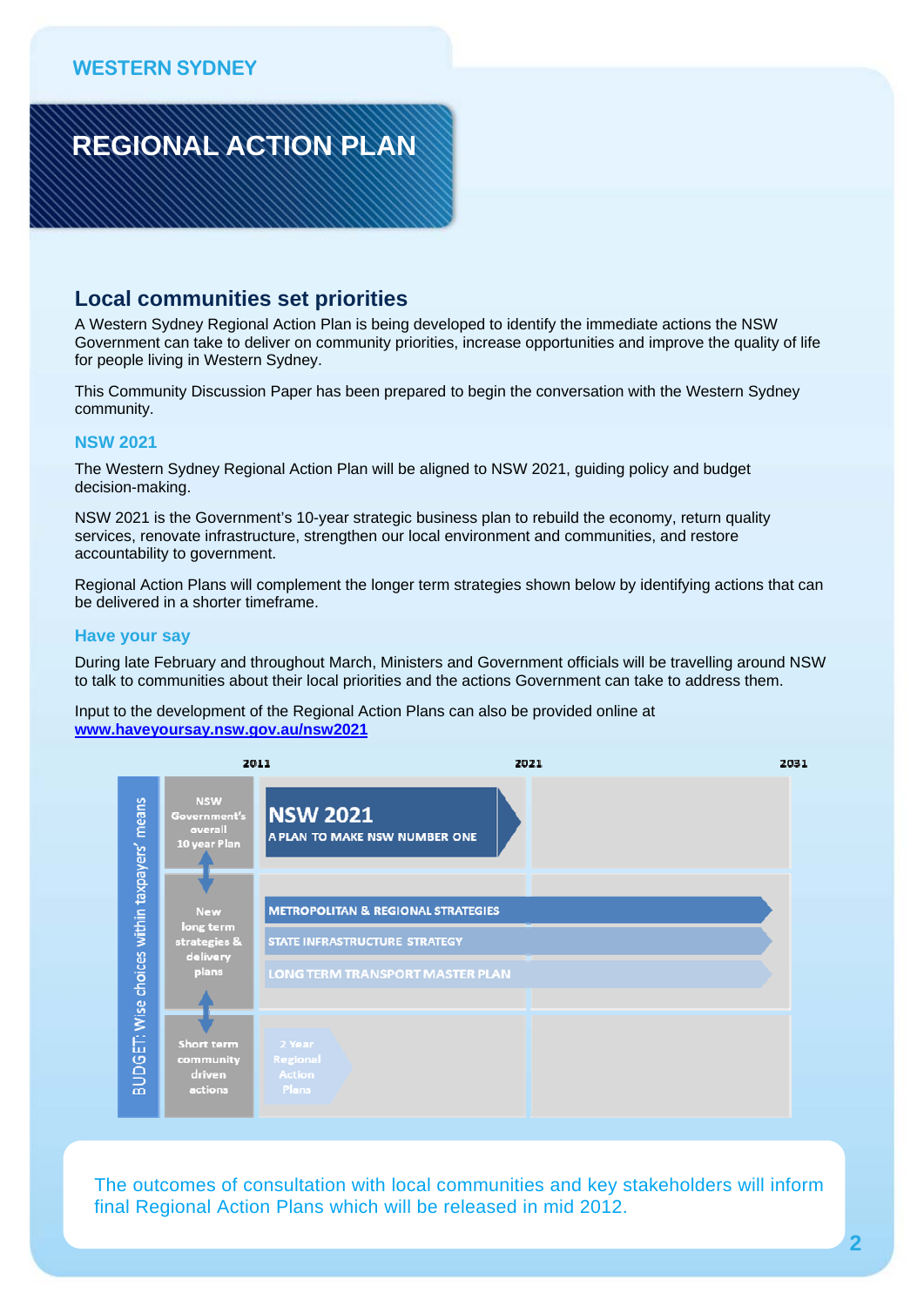

### **Local communities set priorities**

A Western Sydney Regional Action Plan is being developed to identify the immediate actions the NSW Government can take to deliver on community priorities, increase opportunities and improve the quality of life for people living in Western Sydney.

This Community Discussion Paper has been prepared to begin the conversation with the Western Sydney community.

#### **NSW 2021**

The Western Sydney Regional Action Plan will be aligned to NSW 2021, guiding policy and budget decision-making.

NSW 2021 is the Government's 10-year strategic business plan to rebuild the economy, return quality services, renovate infrastructure, strengthen our local environment and communities, and restore accountability to government.

Regional Action Plans will complement the longer term strategies shown below by identifying actions that can be delivered in a shorter timeframe.

#### **Have your say**

During late February and throughout March, Ministers and Government officials will be travelling around NSW to talk to communities about their local priorities and the actions Government can take to address them.

Input to the development of the Regional Action Plans can also be provided online at **www.haveyoursay.nsw.gov.au/nsw2021**



The outcomes of consultation with local communities and key stakeholders will inform final Regional Action Plans which will be released in mid 2012.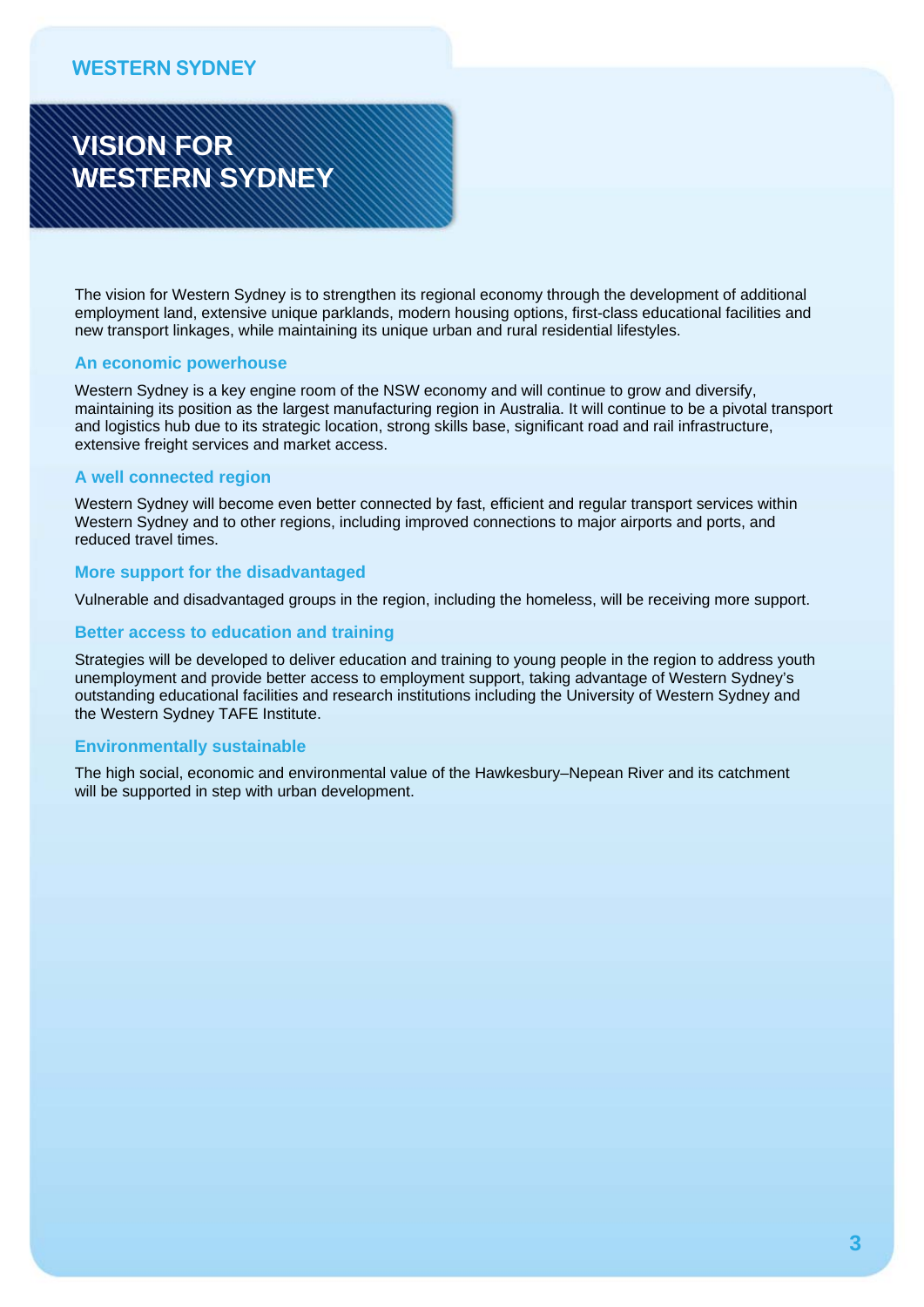# **VISION FOR WESTERN SYDNEY**

The vision for Western Sydney is to strengthen its regional economy through the development of additional employment land, extensive unique parklands, modern housing options, first-class educational facilities and new transport linkages, while maintaining its unique urban and rural residential lifestyles.

#### **An economic powerhouse**

Western Sydney is a key engine room of the NSW economy and will continue to grow and diversify, maintaining its position as the largest manufacturing region in Australia. It will continue to be a pivotal transport and logistics hub due to its strategic location, strong skills base, significant road and rail infrastructure, extensive freight services and market access.

#### **A well connected region**

Western Sydney will become even better connected by fast, efficient and regular transport services within Western Sydney and to other regions, including improved connections to major airports and ports, and reduced travel times.

#### **More support for the disadvantaged**

Vulnerable and disadvantaged groups in the region, including the homeless, will be receiving more support.

#### **Better access to education and training**

Strategies will be developed to deliver education and training to young people in the region to address youth unemployment and provide better access to employment support, taking advantage of Western Sydney's outstanding educational facilities and research institutions including the University of Western Sydney and the Western Sydney TAFE Institute.

#### **Environmentally sustainable**

The high social, economic and environmental value of the Hawkesbury–Nepean River and its catchment will be supported in step with urban development.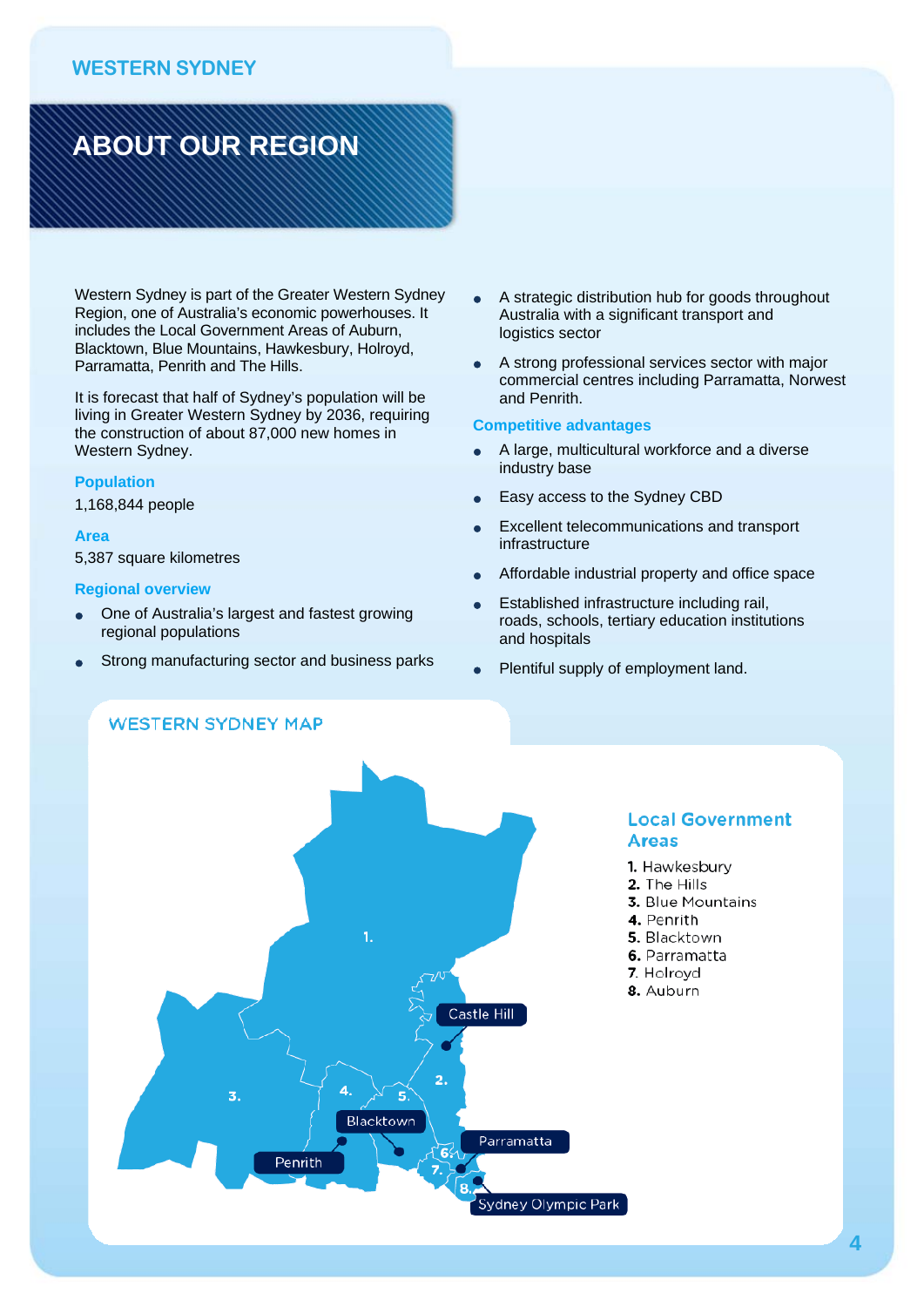# **ABOUT OUR REGION**

Western Sydney is part of the Greater Western Sydney Region, one of Australia's economic powerhouses. It includes the Local Government Areas of Auburn, Blacktown, Blue Mountains, Hawkesbury, Holroyd, Parramatta, Penrith and The Hills.

It is forecast that half of Sydney's population will be living in Greater Western Sydney by 2036, requiring the construction of about 87,000 new homes in Western Sydney.

#### **Population**

1,168,844 people

#### **Area**

5,387 square kilometres

#### **Regional overview**

 One of Australia's largest and fastest growing regional populations

**WESTERN SYDNEY MAP** 

Strong manufacturing sector and business parks

- A strategic distribution hub for goods throughout Australia with a significant transport and logistics sector
- A strong professional services sector with major commercial centres including Parramatta, Norwest and Penrith.

#### **Competitive advantages**

- A large, multicultural workforce and a diverse industry base
- Easy access to the Sydney CBD
- Excellent telecommunications and transport infrastructure
- Affordable industrial property and office space
- Established infrastructure including rail, roads, schools, tertiary education institutions and hospitals
- Plentiful supply of employment land.



#### **Local Government Areas**

- 1. Hawkesbury
- 2. The Hills
- 3. Blue Mountains
- 4. Penrith
- 5. Blacktown
- 6. Parramatta
- 7. Holrovd
- 8. Auburn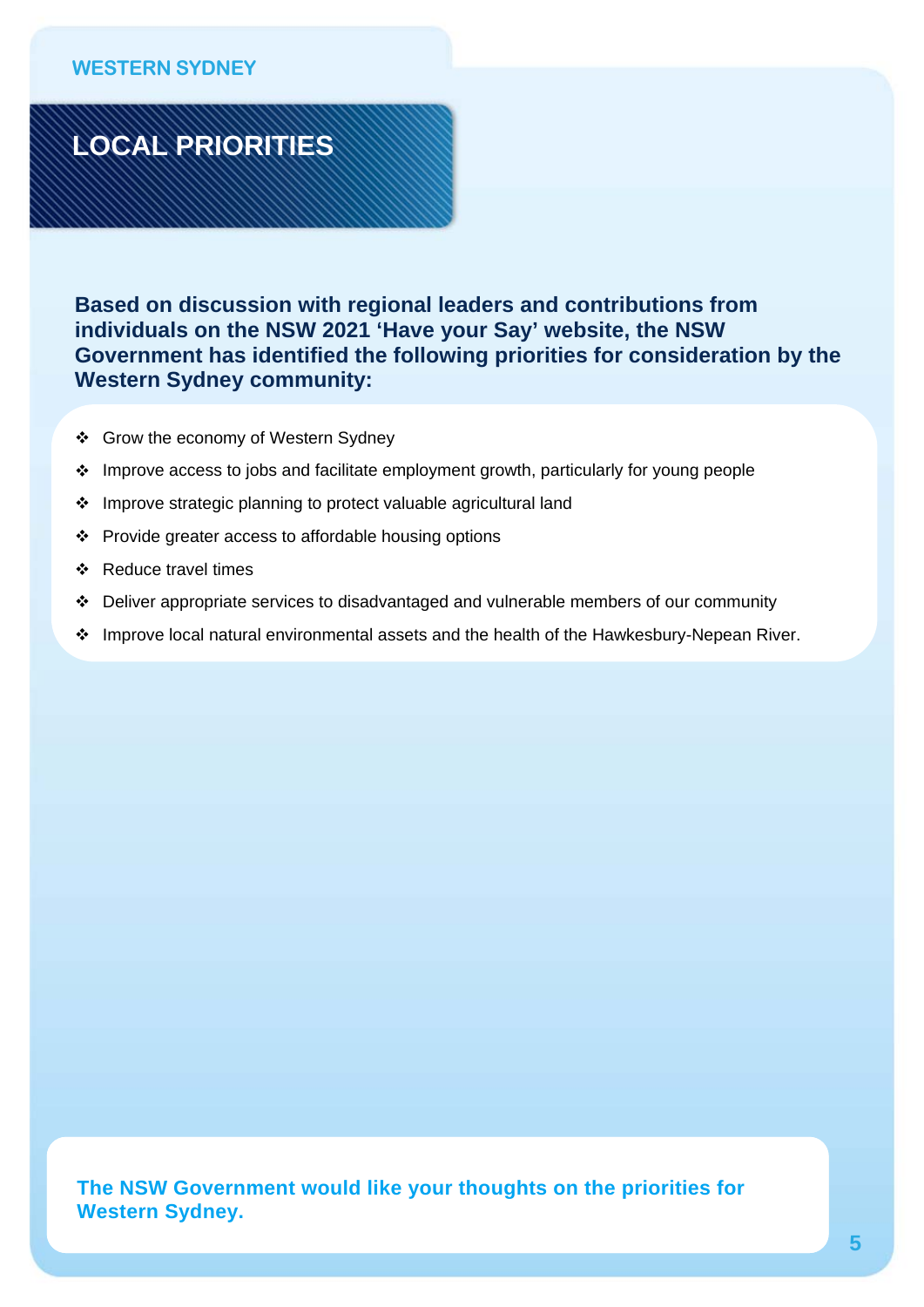

**Based on discussion with regional leaders and contributions from individuals on the NSW 2021 'Have your Say' website, the NSW Government has identified the following priorities for consideration by the Western Sydney community:** 

- ❖ Grow the economy of Western Sydney
- Improve access to jobs and facilitate employment growth, particularly for young people
- Improve strategic planning to protect valuable agricultural land
- Provide greater access to affordable housing options
- Reduce travel times
- Deliver appropriate services to disadvantaged and vulnerable members of our community
- \* Improve local natural environmental assets and the health of the Hawkesbury-Nepean River.

The NSW Government would like your thoughts on the priorities for **The NSW Government would like your thoughts on the priorities for**  Western Sydney. **Western Sydney.**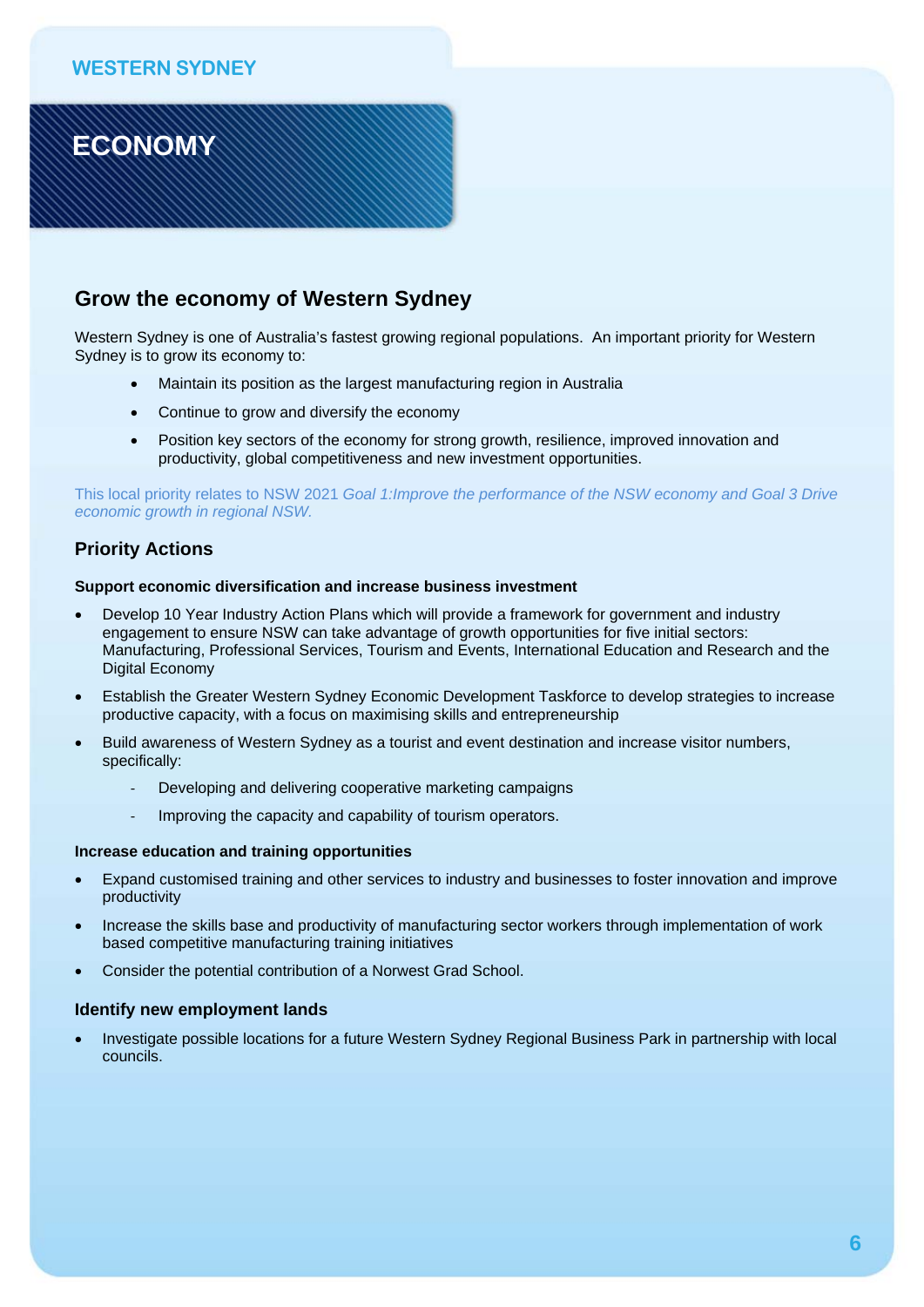**ECONOMY** 

## **Grow the economy of Western Sydney**

Western Sydney is one of Australia's fastest growing regional populations. An important priority for Western Sydney is to grow its economy to:

- Maintain its position as the largest manufacturing region in Australia
- Continue to grow and diversify the economy
- Position key sectors of the economy for strong growth, resilience, improved innovation and productivity, global competitiveness and new investment opportunities.

This local priority relates to NSW 2021 *Goal 1:Improve the performance of the NSW economy and Goal 3 Drive economic growth in regional NSW.* 

### **Priority Actions**

#### **Support economic diversification and increase business investment**

- Develop 10 Year Industry Action Plans which will provide a framework for government and industry engagement to ensure NSW can take advantage of growth opportunities for five initial sectors: Manufacturing, Professional Services, Tourism and Events, International Education and Research and the Digital Economy
- Establish the Greater Western Sydney Economic Development Taskforce to develop strategies to increase productive capacity, with a focus on maximising skills and entrepreneurship
- Build awareness of Western Sydney as a tourist and event destination and increase visitor numbers, specifically:
	- ‐ Developing and delivering cooperative marketing campaigns
	- Improving the capacity and capability of tourism operators.

#### **Increase education and training opportunities**

- Expand customised training and other services to industry and businesses to foster innovation and improve productivity
- Increase the skills base and productivity of manufacturing sector workers through implementation of work based competitive manufacturing training initiatives
- Consider the potential contribution of a Norwest Grad School.

#### **Identify new employment lands**

 Investigate possible locations for a future Western Sydney Regional Business Park in partnership with local councils.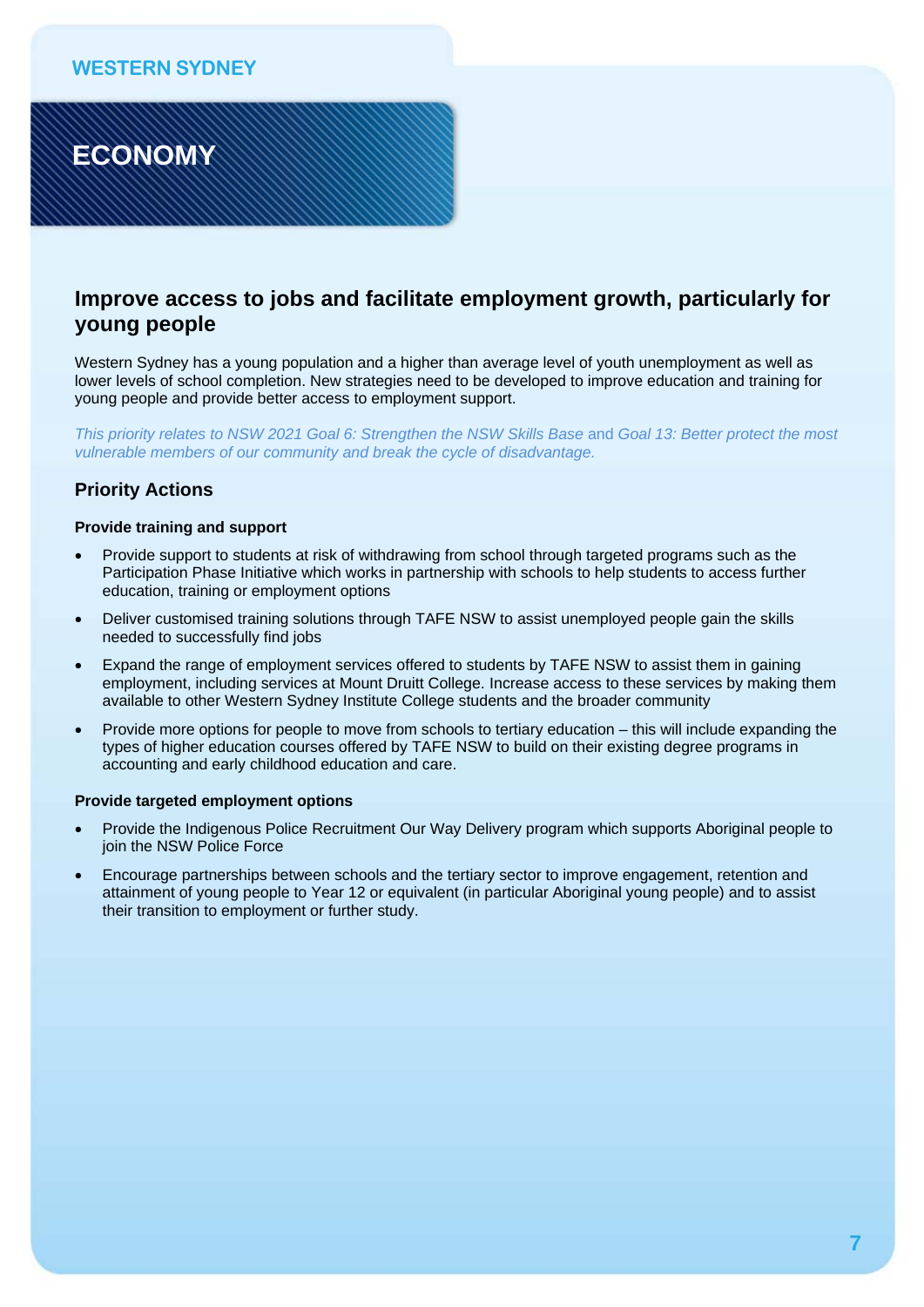**ECONOMY** 

# **Improve access to jobs and facilitate employment growth, particularly for young people**

Western Sydney has a young population and a higher than average level of youth unemployment as well as lower levels of school completion. New strategies need to be developed to improve education and training for young people and provide better access to employment support.

*This priority relates to NSW 2021 Goal 6: Strengthen the NSW Skills Base and Goal 13: Better protect the most vulnerable members of our community and break the cycle of disadvantage.* 

### **Priority Actions**

#### **Provide training and support**

- Provide support to students at risk of withdrawing from school through targeted programs such as the Participation Phase Initiative which works in partnership with schools to help students to access further education, training or employment options
- Deliver customised training solutions through TAFE NSW to assist unemployed people gain the skills needed to successfully find jobs
- Expand the range of employment services offered to students by TAFE NSW to assist them in gaining employment, including services at Mount Druitt College. Increase access to these services by making them available to other Western Sydney Institute College students and the broader community
- Provide more options for people to move from schools to tertiary education this will include expanding the types of higher education courses offered by TAFE NSW to build on their existing degree programs in accounting and early childhood education and care.

#### **Provide targeted employment options**

- Provide the Indigenous Police Recruitment Our Way Delivery program which supports Aboriginal people to join the NSW Police Force
- Encourage partnerships between schools and the tertiary sector to improve engagement, retention and attainment of young people to Year 12 or equivalent (in particular Aboriginal young people) and to assist their transition to employment or further study.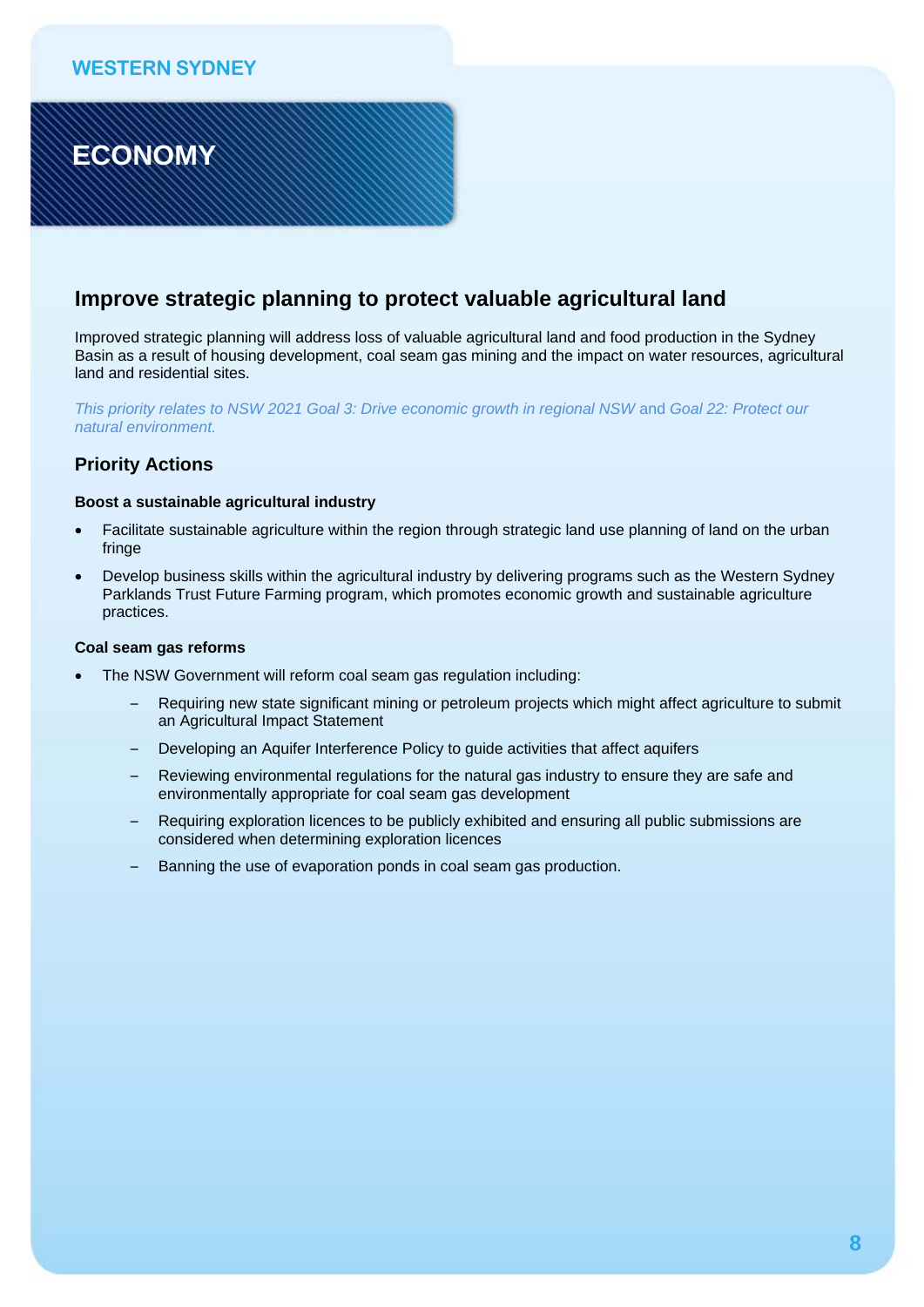# **ECONOMY**

## **Improve strategic planning to protect valuable agricultural land**

Improved strategic planning will address loss of valuable agricultural land and food production in the Sydney Basin as a result of housing development, coal seam gas mining and the impact on water resources, agricultural land and residential sites.

*This priority relates to NSW 2021 Goal 3: Drive economic growth in regional NSW* and *Goal 22: Protect our natural environment.* 

### **Priority Actions**

#### **Boost a sustainable agricultural industry**

- Facilitate sustainable agriculture within the region through strategic land use planning of land on the urban fringe
- Develop business skills within the agricultural industry by delivering programs such as the Western Sydney Parklands Trust Future Farming program, which promotes economic growth and sustainable agriculture practices.

#### **Coal seam gas reforms**

- The NSW Government will reform coal seam gas regulation including:
	- Requiring new state significant mining or petroleum projects which might affect agriculture to submit an Agricultural Impact Statement
	- Developing an Aquifer Interference Policy to guide activities that affect aquifers
	- Reviewing environmental regulations for the natural gas industry to ensure they are safe and environmentally appropriate for coal seam gas development
	- Requiring exploration licences to be publicly exhibited and ensuring all public submissions are considered when determining exploration licences
	- Banning the use of evaporation ponds in coal seam gas production.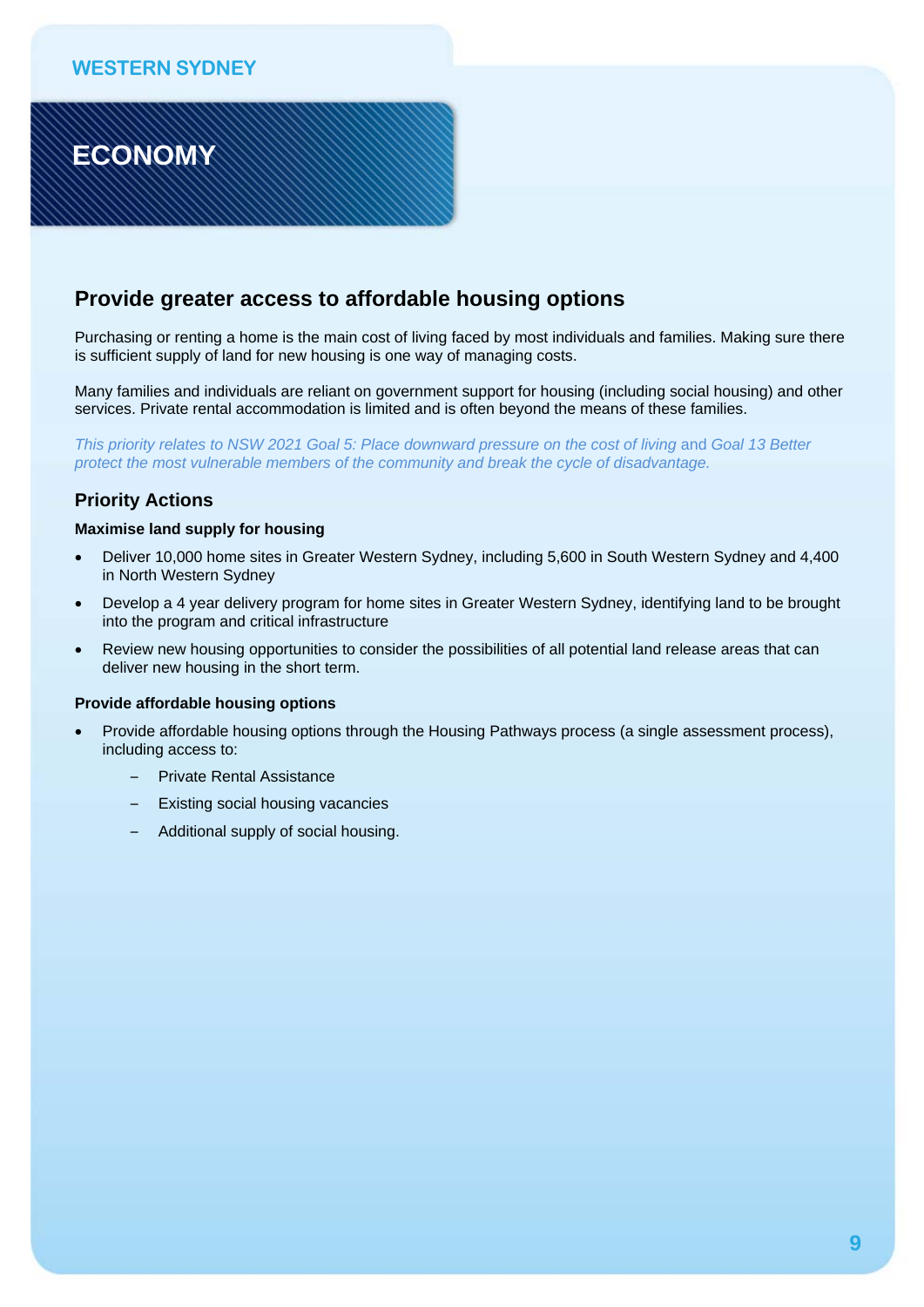# **ECONOMY**

## **Provide greater access to affordable housing options**

Purchasing or renting a home is the main cost of living faced by most individuals and families. Making sure there is sufficient supply of land for new housing is one way of managing costs.

Many families and individuals are reliant on government support for housing (including social housing) and other services. Private rental accommodation is limited and is often beyond the means of these families.

*This priority relates to NSW 2021 Goal 5: Place downward pressure on the cost of living and Goal 13 Better protect the most vulnerable members of the community and break the cycle of disadvantage.* 

### **Priority Actions**

#### **Maximise land supply for housing**

- Deliver 10,000 home sites in Greater Western Sydney, including 5,600 in South Western Sydney and 4,400 in North Western Sydney
- Develop a 4 year delivery program for home sites in Greater Western Sydney, identifying land to be brought into the program and critical infrastructure
- Review new housing opportunities to consider the possibilities of all potential land release areas that can deliver new housing in the short term.

#### **Provide affordable housing options**

- Provide affordable housing options through the Housing Pathways process (a single assessment process), including access to:
	- Private Rental Assistance
	- Existing social housing vacancies
	- Additional supply of social housing.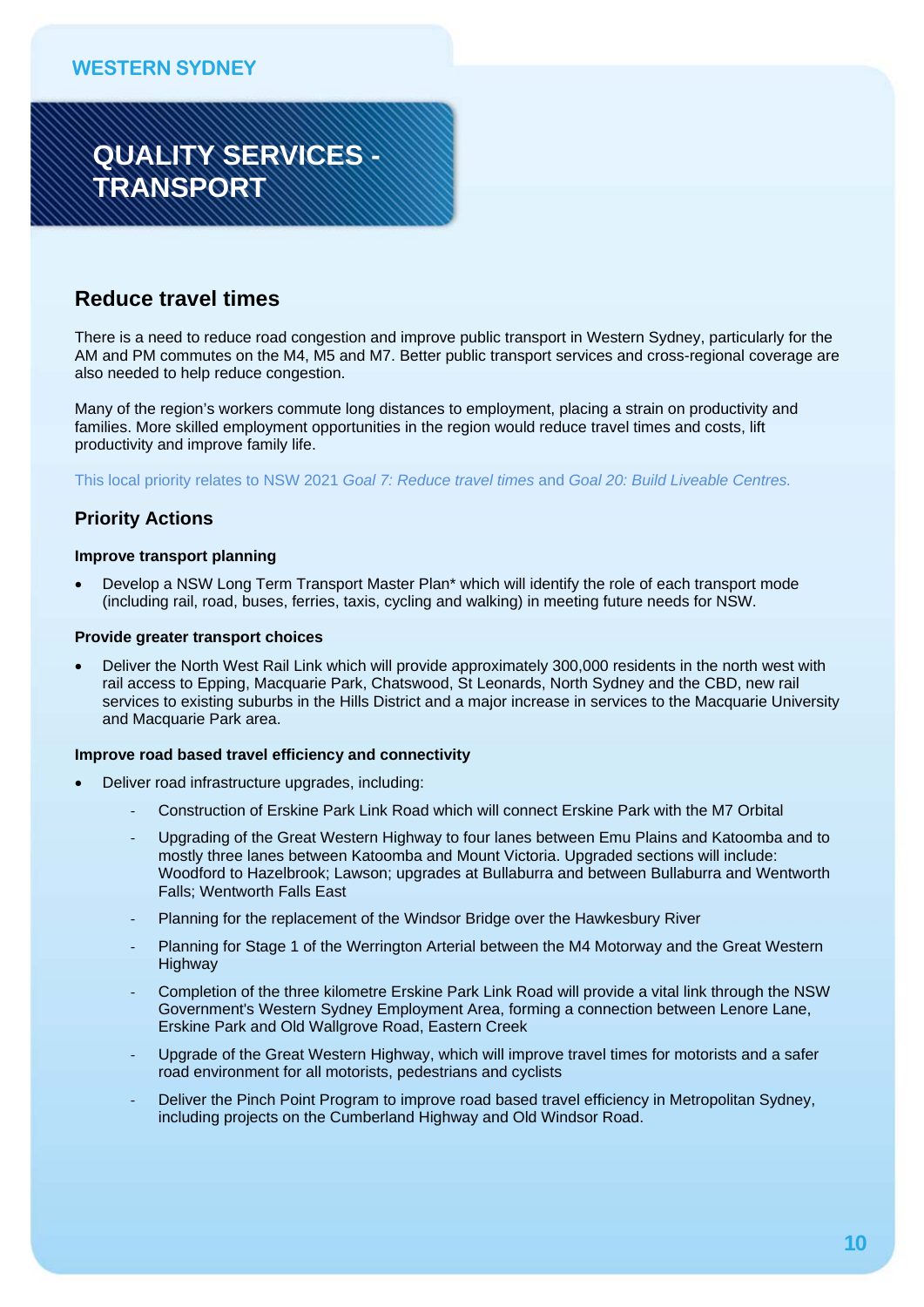# **QUALITY SERVICES - TRANSPORT**

# **Reduce travel times**

There is a need to reduce road congestion and improve public transport in Western Sydney, particularly for the AM and PM commutes on the M4, M5 and M7. Better public transport services and cross-regional coverage are also needed to help reduce congestion.

Many of the region's workers commute long distances to employment, placing a strain on productivity and families. More skilled employment opportunities in the region would reduce travel times and costs, lift productivity and improve family life.

This local priority relates to NSW 2021 *Goal 7: Reduce travel times* and *Goal 20: Build Liveable Centres.* 

### **Priority Actions**

#### **Improve transport planning**

 Develop a NSW Long Term Transport Master Plan\* which will identify the role of each transport mode (including rail, road, buses, ferries, taxis, cycling and walking) in meeting future needs for NSW.

#### **Provide greater transport choices**

 Deliver the North West Rail Link which will provide approximately 300,000 residents in the north west with rail access to Epping, Macquarie Park, Chatswood, St Leonards, North Sydney and the CBD, new rail services to existing suburbs in the Hills District and a major increase in services to the Macquarie University and Macquarie Park area.

#### **Improve road based travel efficiency and connectivity**

- Deliver road infrastructure upgrades, including:
	- ‐ Construction of Erskine Park Link Road which will connect Erskine Park with the M7 Orbital
	- ‐ Upgrading of the Great Western Highway to four lanes between Emu Plains and Katoomba and to mostly three lanes between Katoomba and Mount Victoria. Upgraded sections will include: Woodford to Hazelbrook; Lawson; upgrades at Bullaburra and between Bullaburra and Wentworth Falls; Wentworth Falls East
	- ‐ Planning for the replacement of the Windsor Bridge over the Hawkesbury River
	- ‐ Planning for Stage 1 of the Werrington Arterial between the M4 Motorway and the Great Western **Highway**
	- ‐ Completion of the three kilometre Erskine Park Link Road will provide a vital link through the NSW Government's Western Sydney Employment Area, forming a connection between Lenore Lane, Erskine Park and Old Wallgrove Road, Eastern Creek
	- ‐ Upgrade of the Great Western Highway, which will improve travel times for motorists and a safer road environment for all motorists, pedestrians and cyclists
	- ‐ Deliver the Pinch Point Program to improve road based travel efficiency in Metropolitan Sydney, including projects on the Cumberland Highway and Old Windsor Road.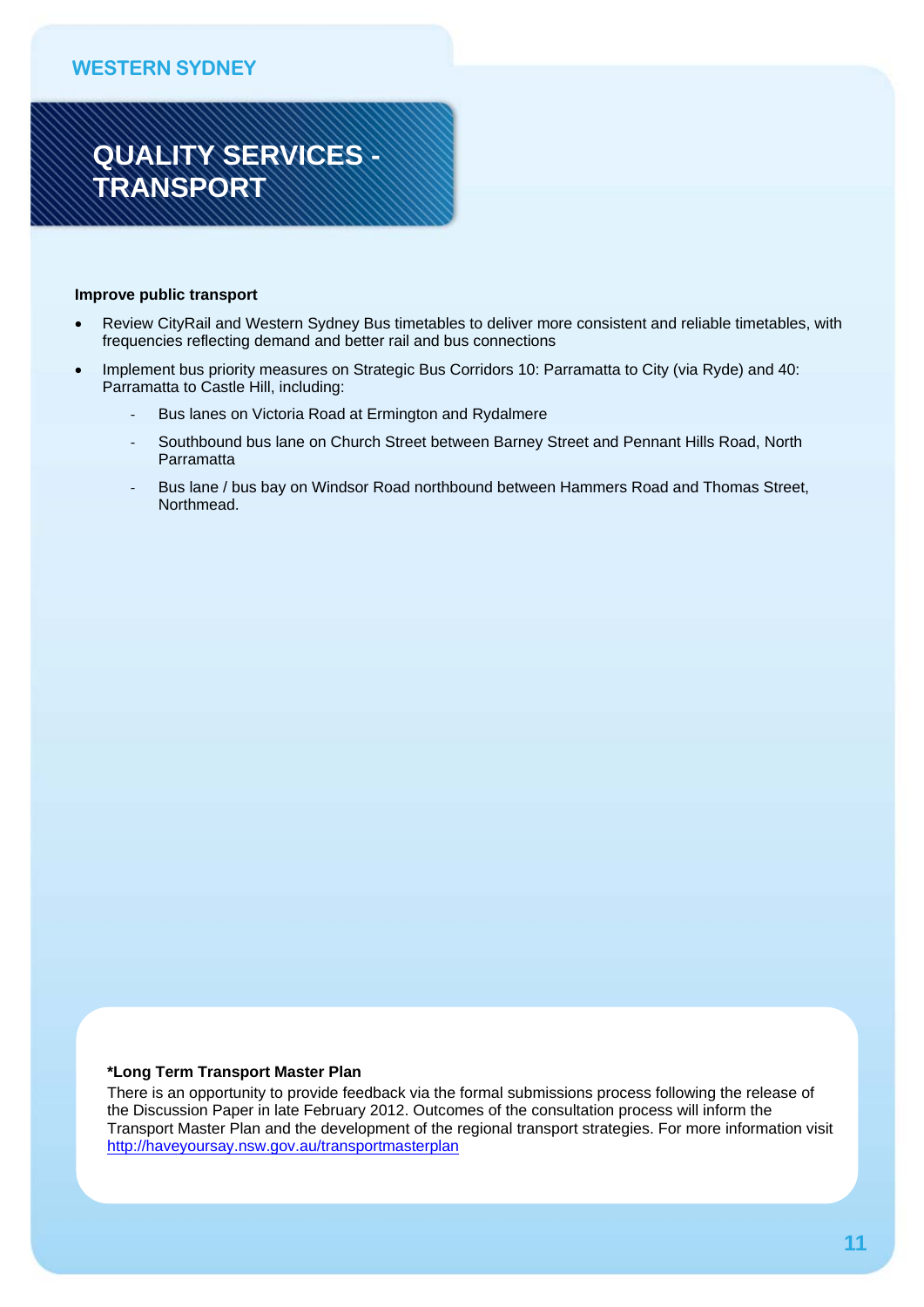# **QUALITY SERVICES - TRANSPORT**

#### **Improve public transport**

- Review CityRail and Western Sydney Bus timetables to deliver more consistent and reliable timetables, with frequencies reflecting demand and better rail and bus connections
- Implement bus priority measures on Strategic Bus Corridors 10: Parramatta to City (via Ryde) and 40: Parramatta to Castle Hill, including:
	- Bus lanes on Victoria Road at Ermington and Rydalmere
	- ‐ Southbound bus lane on Church Street between Barney Street and Pennant Hills Road, North Parramatta
	- Bus lane / bus bay on Windsor Road northbound between Hammers Road and Thomas Street, Northmead.

#### **\*Long Term Transport Master Plan**

There is an opportunity to provide feedback via the formal submissions process following the release of the Discussion Paper in late February 2012. Outcomes of the consultation process will inform the Transport Master Plan and the development of the regional transport strategies. For more information visit http://haveyoursay.nsw.gov.au/transportmasterplan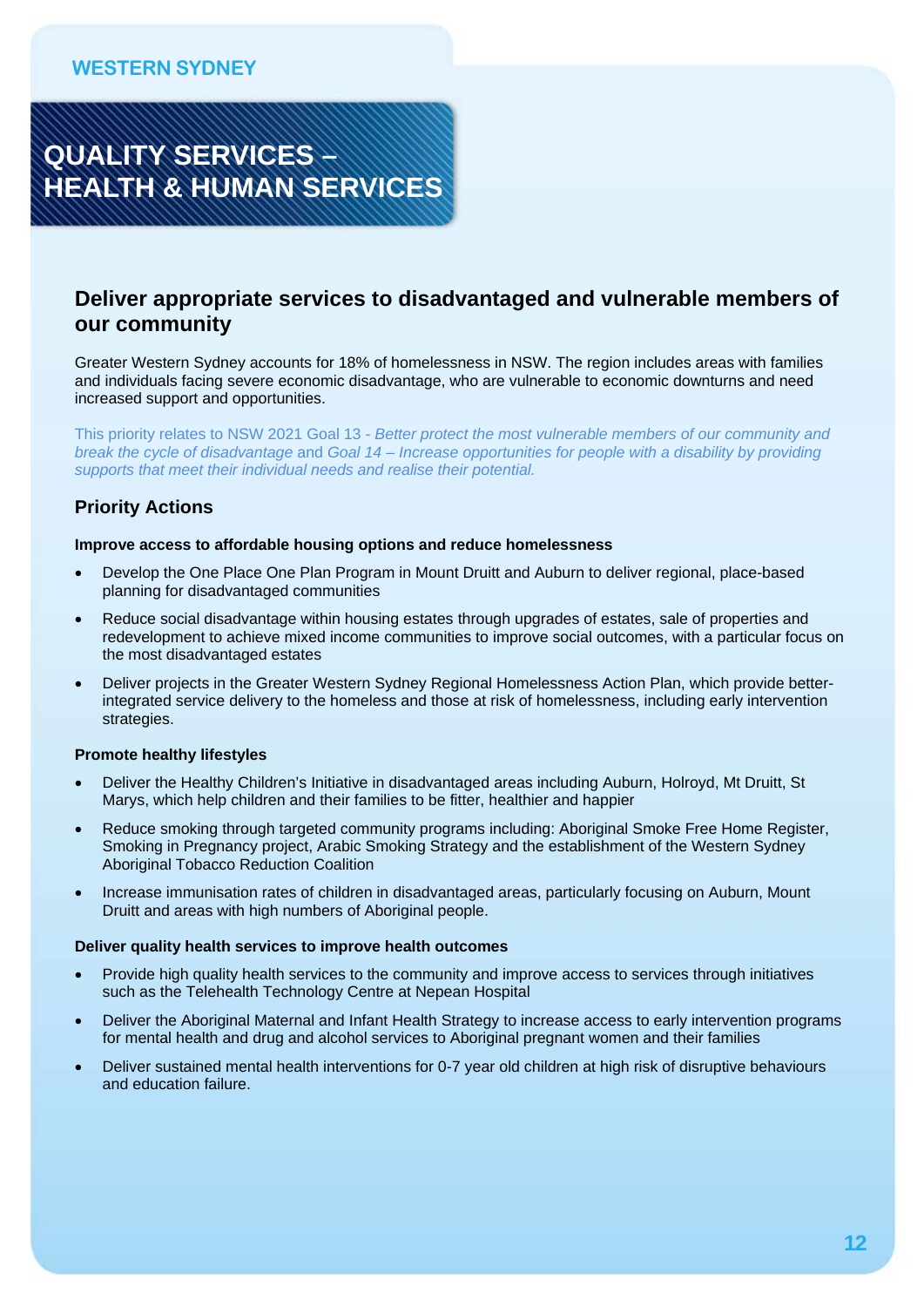

## **Deliver appropriate services to disadvantaged and vulnerable members of our community**

Greater Western Sydney accounts for 18% of homelessness in NSW. The region includes areas with families and individuals facing severe economic disadvantage, who are vulnerable to economic downturns and need increased support and opportunities.

This priority relates to NSW 2021 Goal 13 - *Better protect the most vulnerable members of our community and break the cycle of disadvantage* and *Goal 14 – Increase opportunities for people with a disability by providing supports that meet their individual needs and realise their potential.* 

### **Priority Actions**

#### **Improve access to affordable housing options and reduce homelessness**

- Develop the One Place One Plan Program in Mount Druitt and Auburn to deliver regional, place-based planning for disadvantaged communities
- Reduce social disadvantage within housing estates through upgrades of estates, sale of properties and redevelopment to achieve mixed income communities to improve social outcomes, with a particular focus on the most disadvantaged estates
- Deliver projects in the Greater Western Sydney Regional Homelessness Action Plan, which provide betterintegrated service delivery to the homeless and those at risk of homelessness, including early intervention strategies.

#### **Promote healthy lifestyles**

- Deliver the Healthy Children's Initiative in disadvantaged areas including Auburn, Holroyd, Mt Druitt, St Marys, which help children and their families to be fitter, healthier and happier
- Reduce smoking through targeted community programs including: Aboriginal Smoke Free Home Register, Smoking in Pregnancy project, Arabic Smoking Strategy and the establishment of the Western Sydney Aboriginal Tobacco Reduction Coalition
- Increase immunisation rates of children in disadvantaged areas, particularly focusing on Auburn, Mount Druitt and areas with high numbers of Aboriginal people.

#### **Deliver quality health services to improve health outcomes**

- Provide high quality health services to the community and improve access to services through initiatives such as the Telehealth Technology Centre at Nepean Hospital
- Deliver the Aboriginal Maternal and Infant Health Strategy to increase access to early intervention programs for mental health and drug and alcohol services to Aboriginal pregnant women and their families
- Deliver sustained mental health interventions for 0-7 year old children at high risk of disruptive behaviours and education failure.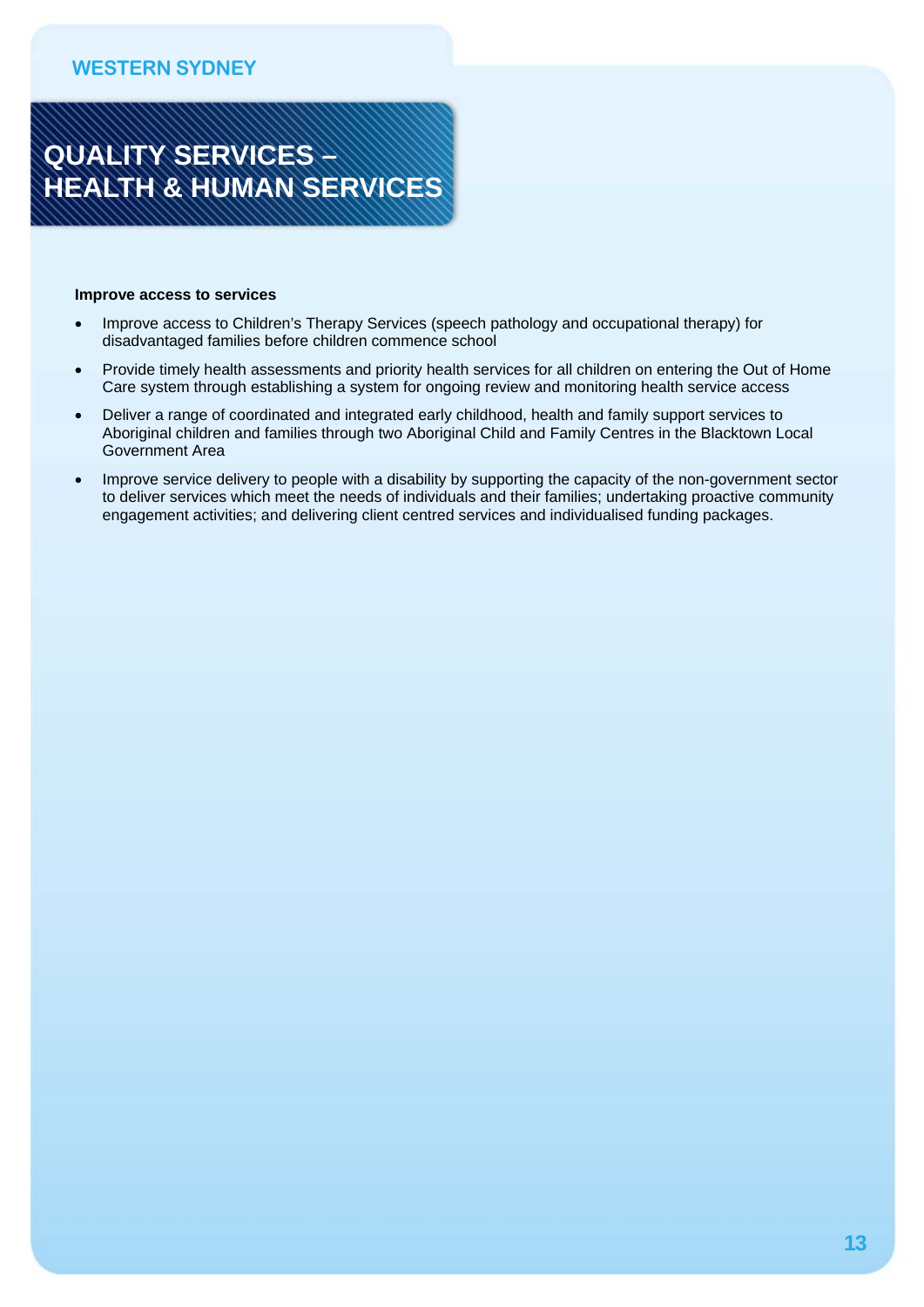

#### **Improve access to services**

- Improve access to Children's Therapy Services (speech pathology and occupational therapy) for disadvantaged families before children commence school
- Provide timely health assessments and priority health services for all children on entering the Out of Home Care system through establishing a system for ongoing review and monitoring health service access
- Deliver a range of coordinated and integrated early childhood, health and family support services to Aboriginal children and families through two Aboriginal Child and Family Centres in the Blacktown Local Government Area
- Improve service delivery to people with a disability by supporting the capacity of the non-government sector to deliver services which meet the needs of individuals and their families; undertaking proactive community engagement activities; and delivering client centred services and individualised funding packages.